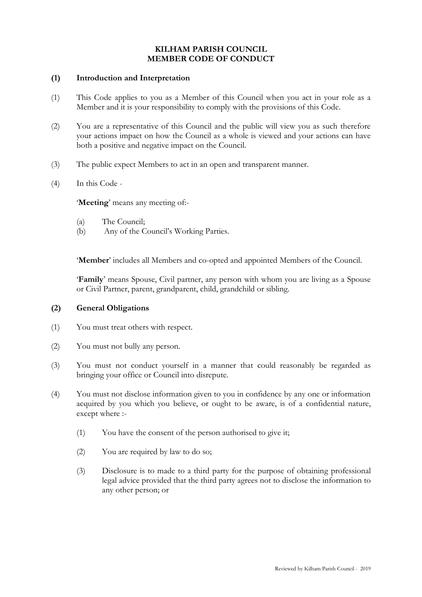# **KILHAM PARISH COUNCIL MEMBER CODE OF CONDUCT**

### **(1) Introduction and Interpretation**

- (1) This Code applies to you as a Member of this Council when you act in your role as a Member and it is your responsibility to comply with the provisions of this Code.
- (2) You are a representative of this Council and the public will view you as such therefore your actions impact on how the Council as a whole is viewed and your actions can have both a positive and negative impact on the Council.
- (3) The public expect Members to act in an open and transparent manner.
- (4) In this Code -

'**Meeting**' means any meeting of:-

- (a) The Council;
- (b) Any of the Council's Working Parties.

'**Member**' includes all Members and co-opted and appointed Members of the Council.

'**Family**' means Spouse, Civil partner, any person with whom you are living as a Spouse or Civil Partner, parent, grandparent, child, grandchild or sibling.

## **(2) General Obligations**

- (1) You must treat others with respect.
- (2) You must not bully any person.
- (3) You must not conduct yourself in a manner that could reasonably be regarded as bringing your office or Council into disrepute.
- (4) You must not disclose information given to you in confidence by any one or information acquired by you which you believe, or ought to be aware, is of a confidential nature, except where :-
	- (1) You have the consent of the person authorised to give it;
	- (2) You are required by law to do so;
	- (3) Disclosure is to made to a third party for the purpose of obtaining professional legal advice provided that the third party agrees not to disclose the information to any other person; or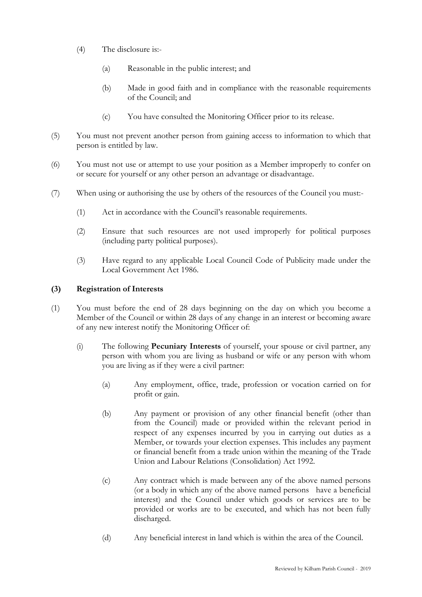- (4) The disclosure is:-
	- (a) Reasonable in the public interest; and
	- (b) Made in good faith and in compliance with the reasonable requirements of the Council; and
	- (c) You have consulted the Monitoring Officer prior to its release.
- (5) You must not prevent another person from gaining access to information to which that person is entitled by law.
- (6) You must not use or attempt to use your position as a Member improperly to confer on or secure for yourself or any other person an advantage or disadvantage.
- (7) When using or authorising the use by others of the resources of the Council you must:-
	- (1) Act in accordance with the Council's reasonable requirements.
	- (2) Ensure that such resources are not used improperly for political purposes (including party political purposes).
	- (3) Have regard to any applicable Local Council Code of Publicity made under the Local Government Act 1986.

# **(3) Registration of Interests**

- (1) You must before the end of 28 days beginning on the day on which you become a Member of the Council or within 28 days of any change in an interest or becoming aware of any new interest notify the Monitoring Officer of:
	- (i) The following **Pecuniary Interests** of yourself, your spouse or civil partner, any person with whom you are living as husband or wife or any person with whom you are living as if they were a civil partner:
		- (a) Any employment, office, trade, profession or vocation carried on for profit or gain.
		- (b) Any payment or provision of any other financial benefit (other than from the Council) made or provided within the relevant period in respect of any expenses incurred by you in carrying out duties as a Member, or towards your election expenses. This includes any payment or financial benefit from a trade union within the meaning of the Trade Union and Labour Relations (Consolidation) Act 1992.
		- (c) Any contract which is made between any of the above named persons (or a body in which any of the above named persons have a beneficial interest) and the Council under which goods or services are to be provided or works are to be executed, and which has not been fully discharged.
		- (d) Any beneficial interest in land which is within the area of the Council.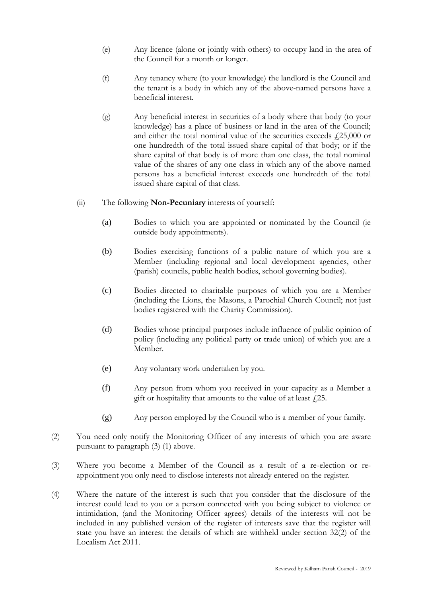- (e) Any licence (alone or jointly with others) to occupy land in the area of the Council for a month or longer.
- (f) Any tenancy where (to your knowledge) the landlord is the Council and the tenant is a body in which any of the above-named persons have a beneficial interest.
- (g) Any beneficial interest in securities of a body where that body (to your knowledge) has a place of business or land in the area of the Council; and either the total nominal value of the securities exceeds  $f(25,000)$  or one hundredth of the total issued share capital of that body; or if the share capital of that body is of more than one class, the total nominal value of the shares of any one class in which any of the above named persons has a beneficial interest exceeds one hundredth of the total issued share capital of that class.
- (ii) The following **Non-Pecuniary** interests of yourself:
	- (a) Bodies to which you are appointed or nominated by the Council (ie outside body appointments).
	- (b) Bodies exercising functions of a public nature of which you are a Member (including regional and local development agencies, other (parish) councils, public health bodies, school governing bodies).
	- (c) Bodies directed to charitable purposes of which you are a Member (including the Lions, the Masons, a Parochial Church Council; not just bodies registered with the Charity Commission).
	- (d) Bodies whose principal purposes include influence of public opinion of policy (including any political party or trade union) of which you are a Member.
	- (e) Any voluntary work undertaken by you.
	- (f) Any person from whom you received in your capacity as a Member a gift or hospitality that amounts to the value of at least  $\ell$ 25.
	- (g) Any person employed by the Council who is a member of your family.
- (2) You need only notify the Monitoring Officer of any interests of which you are aware pursuant to paragraph (3) (1) above.
- (3) Where you become a Member of the Council as a result of a re-election or reappointment you only need to disclose interests not already entered on the register.
- (4) Where the nature of the interest is such that you consider that the disclosure of the interest could lead to you or a person connected with you being subject to violence or intimidation, (and the Monitoring Officer agrees) details of the interests will not be included in any published version of the register of interests save that the register will state you have an interest the details of which are withheld under section 32(2) of the Localism Act 2011.